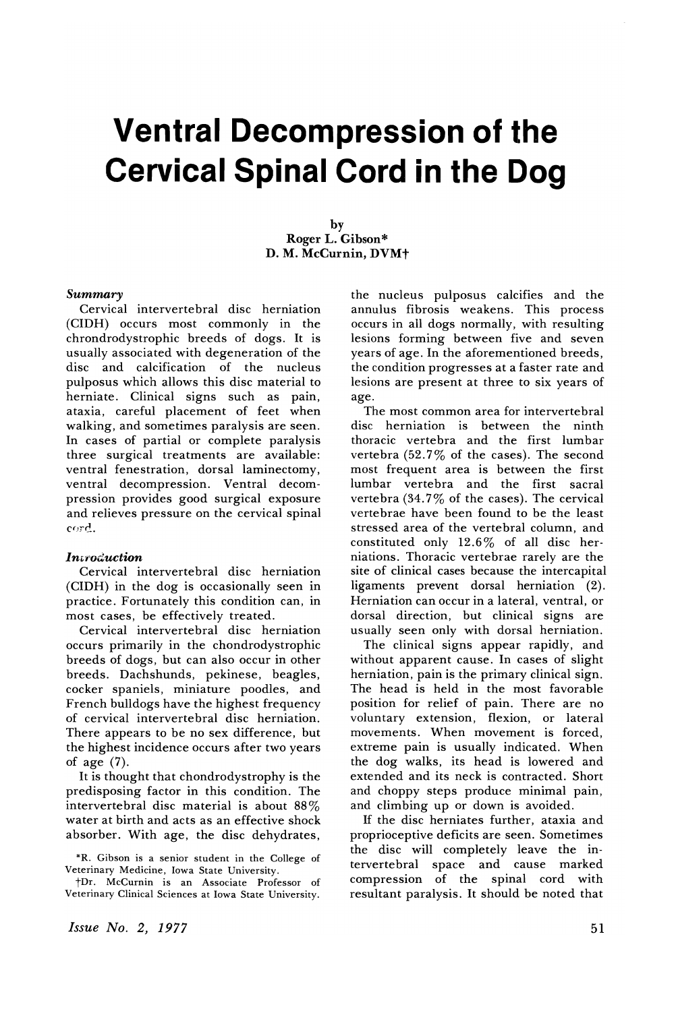# **Ventral Decompression of the Cervical Spinal Cord in the Dog**

by Roger L. Gibson\* D. M. McCurnin, DVMt

#### *Summary*

Cervical intervertebral disc herniation (CIDH) occurs most commonly in the chrondrodystrophic breeds of dogs. It is usually associated with degeneration of the disc and calcification of the nucleus pulposus which allows this disc material to herniate. Clinical signs such as pain, ataxia, careful placement of feet when walking, and sometimes paralysis are seen. In cases of partial or complete paralysis three surgical treatments are available: ventral fenestration, dorsal laminectomy, ventral decompression. Ventral decompression provides good surgical exposure and relieves pressure on the cervical spinal eord.

## *lntroduction*

Cervical intervertebral disc herniation (CIDH) in the dog is occasionally seen in practice. Fortunately this condition can, in most cases, be effectively treated.

Cervical intervertebral disc herniation occurs primarily in the chondrodystrophic breeds of dogs, but can also occur in other breeds. Dachshunds, pekinese, beagles, cocker spaniels, miniature poodles, and French bulldogs have the highest frequency of cervical intervertebral disc herniation. There appears to be no sex difference, but the highest incidence occurs after two years of age (7).

It is thought that chondrodystrophy is the predisposing factor in this condition. The intervertebral disc material is about 88% water at birth and acts as an effective shock absorber. With age, the disc dehydrates,

\*R. Gibson is a senior student in the College of

tDr. McCurnin is an Associate Professor of tDr. McCurnin is an Associate Professor of Veterinary Clinical Sciences at Iowa State University.

the nucleus pulposus calcifies and the annulus fibrosis weakens. This process occurs in all dogs normally, with resulting lesions forming between five and seven years of age. In the aforementioned breeds, the condition progresses at a faster rate and lesions are present at three to six years of age.

The most common area for intervertebral disc herniation is between the ninth thoracic vertebra and the first lumbar vertebra (52.7% of the cases). The second most frequent area is between the first lumbar vertebra and the first sacral vertebra  $(34.7\%$  of the cases). The cervical vertebrae have been found to be the least stressed area of the vertebral column, and constituted only 12.6% of all disc herniations. Thoracic vertebrae rarely are the site of clinical cases because the intercapital ligaments prevent dorsal herniation (2). Herniation can occur in a lateral, ventral, or dorsal direction, but clinical signs are usually seen only with dorsal herniation.

The clinical signs appear rapidly, and without apparent cause. In cases of slight herniation, pain is the primary clinical sign. The head is held in the most favorable position for relief of pain. There are no voluntary extension, flexion, or lateral movements. When movement is forced, extreme pain is usually indicated. When the dog walks, its head is lowered and extended and its neck is contracted. Short and choppy steps produce minimal pain, and climbing up or down is avoided.

If the disc herniates further, ataxia and proprioceptive deficits are seen. Sometimes the disc will completely leave the in-<br>tervertebral space and cause marked tervertebral space and cause compression of the spinal cord with resultant paralysis. It should be noted that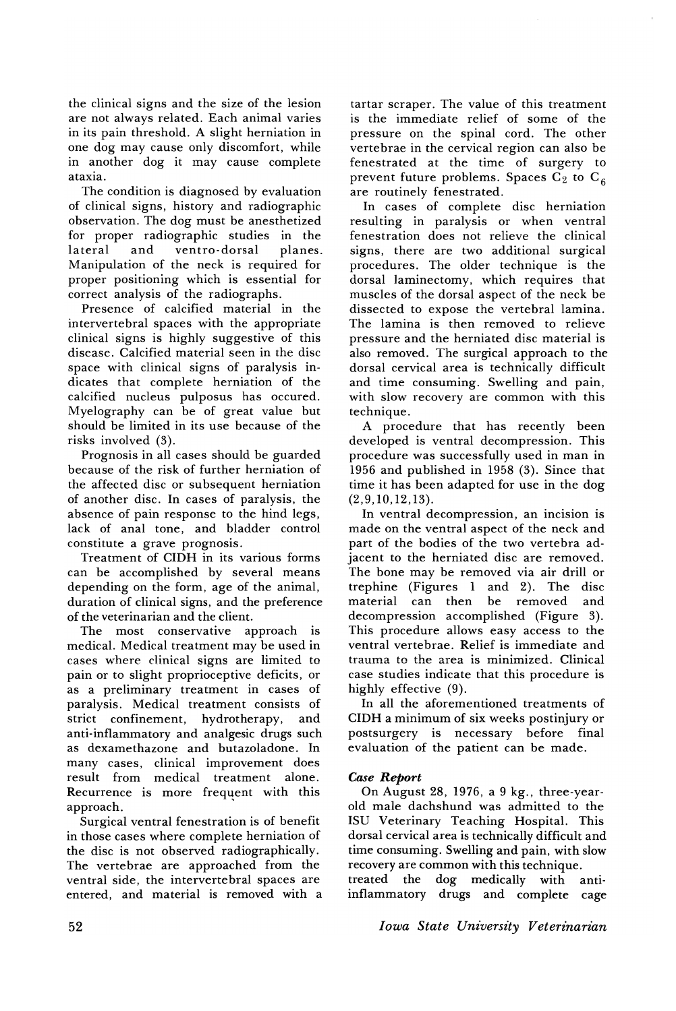the clinical signs and the size of the lesion are not always related. Each animal varies in its pain threshold. A slight herniation in one dog may cause only discomfort, while in another dog it may cause complete ataxia.

The condition is diagnosed by evaluation of clinical signs, history and radiographic observation. The dog must be anesthetized for proper radiographic studies in the<br>lateral and ventro-dorsal planes. ventro-dorsal Manipulation of the neck is required for proper positioning which is essential for correct analysis of the radiographs.

Presence of calcified material in the intervertebral spaces with the appropriate clinical signs is highly suggestive of this disease. Calcified material seen in the disc space with clinical signs of paralysis indicates that complete herniation of the calcified nucleus pulposus has occured. Myelography can be of great value but should be limited in its use because of the risks involved (3).

Prognosis in all cases should be guarded because of the risk of further herniation of the affected disc or subsequent herniation of another disc. In cases of paralysis, the absence of pain response to the hind legs, lack of anal tone, and bladder control constitute a grave prognosis.

Treatment of CIDH in its various forms can be accomplished by several means depending on the form, age of the animal, duration of clinical signs, and the preference of the veterinarian and the client.

The most conservative approach is medical. Medical treatment may be used in cases where clinical signs are limited to pain or to slight proprioceptive deficits, or as a preliminary treatment in cases of paralysis. Medical treatment consists of<br>strict confinement. hvdrotherapy. and strict confinement, hydrotherapy, anti-inflammatory and analgesic drugs such as dexamethazone and butazoladone. In many cases, clinical improvement does result from medical treatment alone. Recurrence is more frequent with this approach. approach. '

Surgical ventral fenestration is of benefit in those cases where complete herniation of the disc is not observed radiographically. The vertebrae are approached from the ventral side, the intervertebral spaces are entered, and material is removed with a tartar scraper. The value of this treatment is the immediate relief of some of the pressure on the spinal cord. The other vertebrae in the cervical region can also be fenestrated at the time of surgery to prevent future problems. Spaces  $C_2$  to  $C_6$ are routinely fenestrated.

In cases of complete disc herniation resulting in paralysis or when ventral fenestration does not relieve the clinical signs, there are two additional surgical procedures. The older technique is the dorsal laminectomy, which requires that muscles of the dorsal aspect of the neck be dissected to expose the vertebral lamina. The lamina is then removed to relieve pressure and the herniated disc material is also removed. The surgical approach to the dorsal cervical area is technically difficult and time consuming. Swelling and pain, with slow recovery are common with this technique.

A procedure that has recently been developed is ventral decompression. This procedure was successfully used in man in 1956 and published in 1958 (3). Since that time it has been adapted for use in the dog (2,9,10,12,13).

In ventral decompression, an incision is made on the ventral aspect of the neck and part of the bodies of the two vertebra adjacent to the herniated disc are removed. The bone may be removed via air drill or trephine (Figures 1 and 2). The disc be removed decompression accomplished (Figure 3). This procedure allows easy access to the ventral vertebrae. Relief is immediate and trauma to the area is minimized. Clinical case studies indicate that this procedure is highly effective (9).

In all the aforementioned treatments of CIDH a minimum of six weeks postinjury or postsurgery is necessary before final evaluation of the patient can be made.

# *Case Report*

On August 28, 1976, a 9 kg., three-yearold male dachshund was admitted to the ISU Veterinary Teaching Hospital. This dorsal cervical area is technically difficult and time consuming. Swelling and pain, with slow recovery are common with this technique.<br>treated the dog medically with antitreated the dog medically with inflammatory drugs and complete cage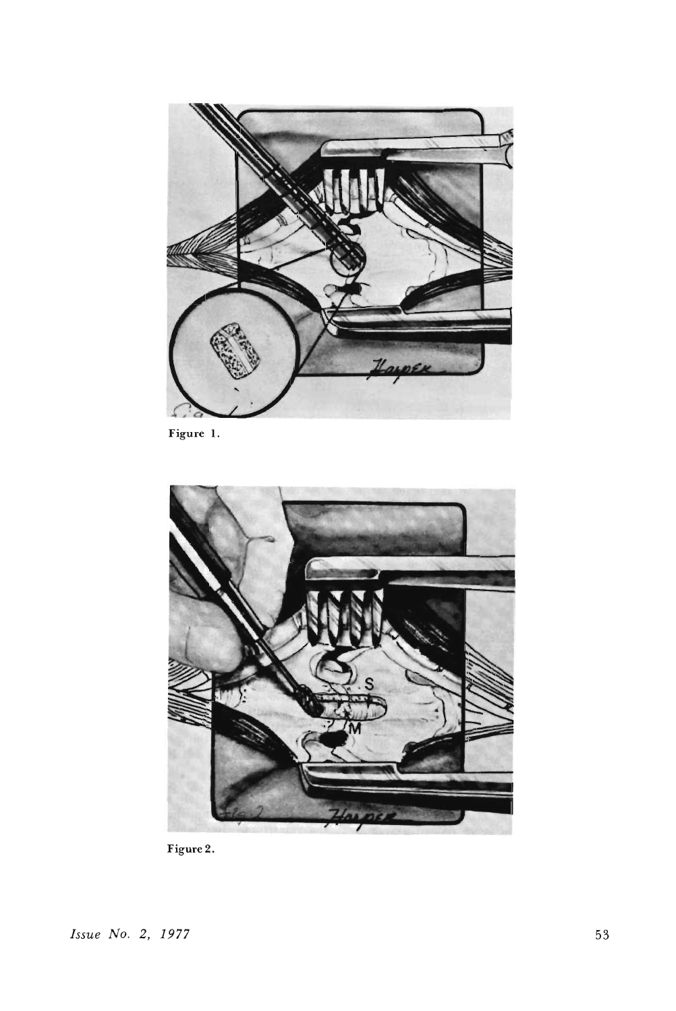

**Figure 1.**



Figure 2.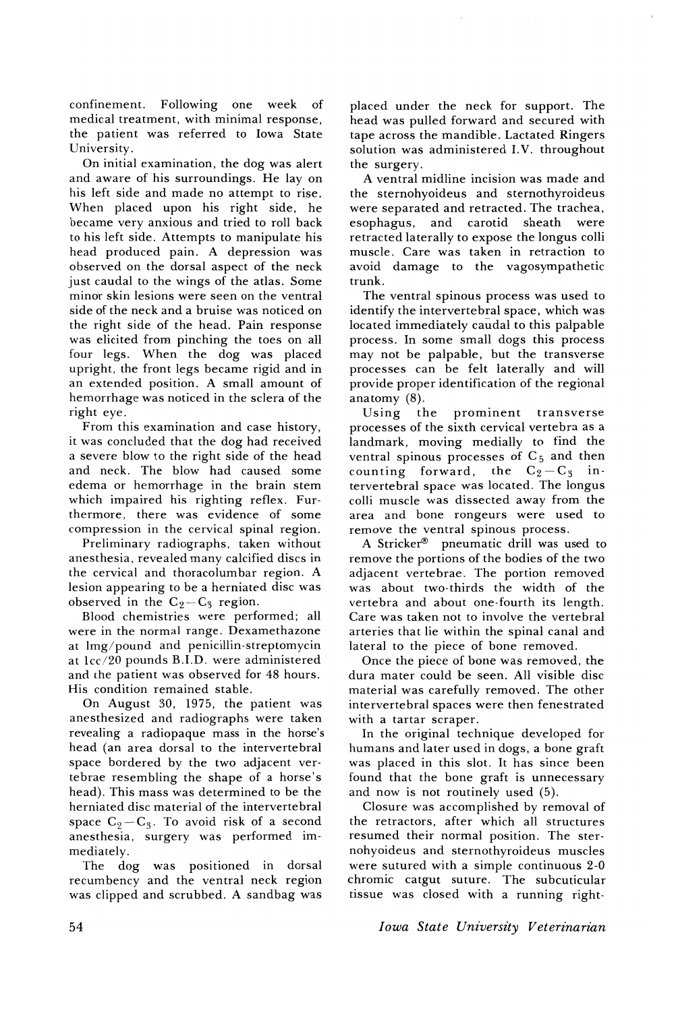confinement. Following one week of medical treatment, with minimal response, the patient was referred to Iowa State University.

On initial examination, the dog was alert and aware of his surroundings. He lay on his left side and made no attempt to rise. When placed upon his right side, he became very anxious and tried to roll back to his left side. Attempts to manipulate his head produced pain. A depression was observed on the dorsal aspect of the neck just caudal to the wings of the atlas. Some minor skin lesions were seen on the ventral side of the neck and a bruise was noticed on the right side of the head. Pain response was elicited from pinching the toes on all four legs. When the dog was placed upright, the front legs became rigid and in an extended position. A small amount of hemorrhage was noticed in the sclera of the right eye.

From this examination and case history, it was concluded that the dog had received a severe blow to the right side of the head and neck. The blow had caused some edema or hemorrhage in the brain stem which impaired his righting reflex. Furthermore, there was evidence of some compression in the cervical spinal region.

Preliminary radiographs, taken without anesthesia, revealed many calcified discs in the cervical and thoracolumbar region. A lesion appearing to be a herniated disc was observed in the  $C_2-C_3$  region.

Blood chemistries were performed; all were in the normal range. Dexamethazone at lmg/pound and penicillin-streptomycin at  $1cc/20$  pounds B.I.D. were administered and the patient was observed for 48 hours. His condition remained stable.

On August 30, 1975, the patient was anesthesized and radiographs were taken revealing a radiopaque mass in the horse's head (an area dorsal to the intervertebral space bordered by the two adjacent vertebrae resembling the shape of a horse's head). This mass was determined to be the herniated disc material of the intervertebral space  $C_2 - C_3$ . To avoid risk of a second anesthesia, surgery was performed immediately.

The dog was positioned in dorsal recumbency and the ventral neck region was clipped and scrubbed. A sandbag was placed under the neck for support. The head was pulled forward and secured with tape across the mandible. Lactated Ringers solution was administered LV. throughout the surgery.

A ventral midline incision was made and the sternohyoideus and sternothyroideus were separated and retracted. The trachea, esophagus, and carotid sheath were retracted laterally to expose the longus colli muscle. Care was taken in retraction to avoid damage to the vagosympathetic trunk.

The ventral spinous process was used to identify the intervertebral space, which was located immediately caudal to this palpable process. In some small dogs this process may not be palpable, but the transverse processes can be felt laterally and will provide proper identification of the regional anatomy (8).

Using the prominent transverse processes of the sixth cervical vertebra as a landmark, moving medially to find the ventral spinous processes of  $C_5$  and then counting forward, the  $C_2 - C_3$  intervertebral space was located. The longus colli muscle was dissected away from the area and bone rongeurs were used to remove the ventral spinous process.

A Stricker® pneumatic drill was used to remove the portions of the bodies of the two adjacent vertebrae. The portion removed was about two-thirds the width of the vertebra and about one-fourth its length. Care was taken not to involve the vertebral arteries that lie within the spinal canal and lateral to the piece of bone removed.

Once the piece of bone was removed, the dura mater could be seen. All visible disc material was carefully removed. The other intervertebral spaces were then fenestrated with a tartar scraper.

In the original technique developed for humans and later used in dogs, a bone graft was placed in this slot. It has since been found that the bone graft is unnecessary and now is not routinely used (5).

Closure was accomplished by removal of the retractors, after which all structures resumed their normal position. The sternohyoideus and sternothyroideus muscles were sutured with a simple continuous 2-0 chromic catgut suture. The subcuticular tissue was closed with a running right-